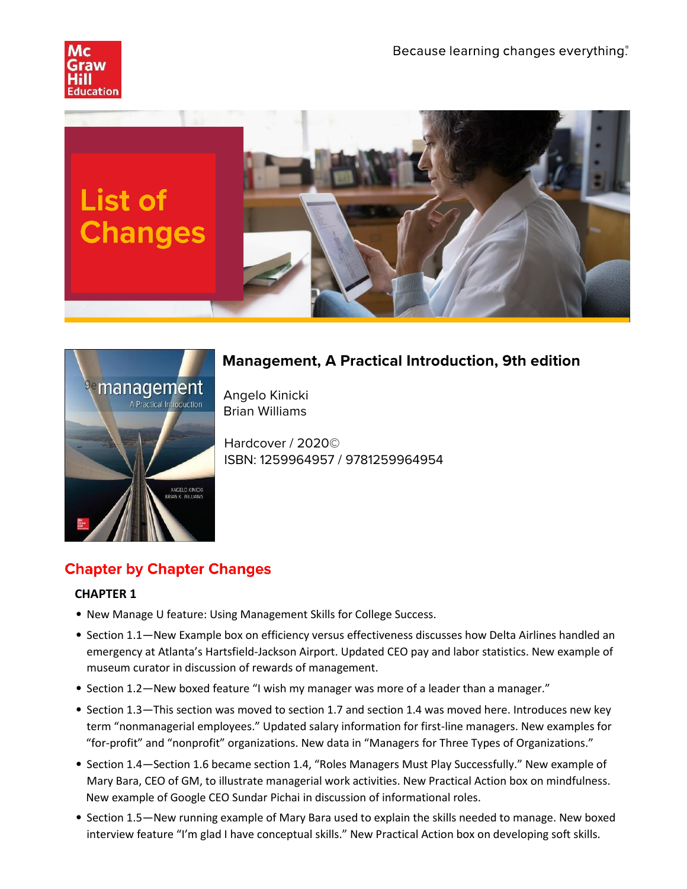





# **Management, A Practical Introduction, 9th edition**

Angelo Kinicki Brian Williams

Hardcover / 2020© ISBN: 1259964957 / 9781259964954

# **Chapter by Chapter Changes**

- New Manage U feature: Using Management Skills for College Success.
- Section 1.1—New Example box on efficiency versus effectiveness discusses how Delta Airlines handled an emergency at Atlanta's Hartsfield-Jackson Airport. Updated CEO pay and labor statistics. New example of museum curator in discussion of rewards of management.
- Section 1.2—New boxed feature "I wish my manager was more of a leader than a manager."
- Section 1.3—This section was moved to section 1.7 and section 1.4 was moved here. Introduces new key term "nonmanagerial employees." Updated salary information for first-line managers. New examples for "for-profit" and "nonprofit" organizations. New data in "Managers for Three Types of Organizations."
- Section 1.4—Section 1.6 became section 1.4, "Roles Managers Must Play Successfully." New example of Mary Bara, CEO of GM, to illustrate managerial work activities. New Practical Action box on mindfulness. New example of Google CEO Sundar Pichai in discussion of informational roles.
- Section 1.5—New running example of Mary Bara used to explain the skills needed to manage. New boxed interview feature "I'm glad I have conceptual skills." New Practical Action box on developing soft skills.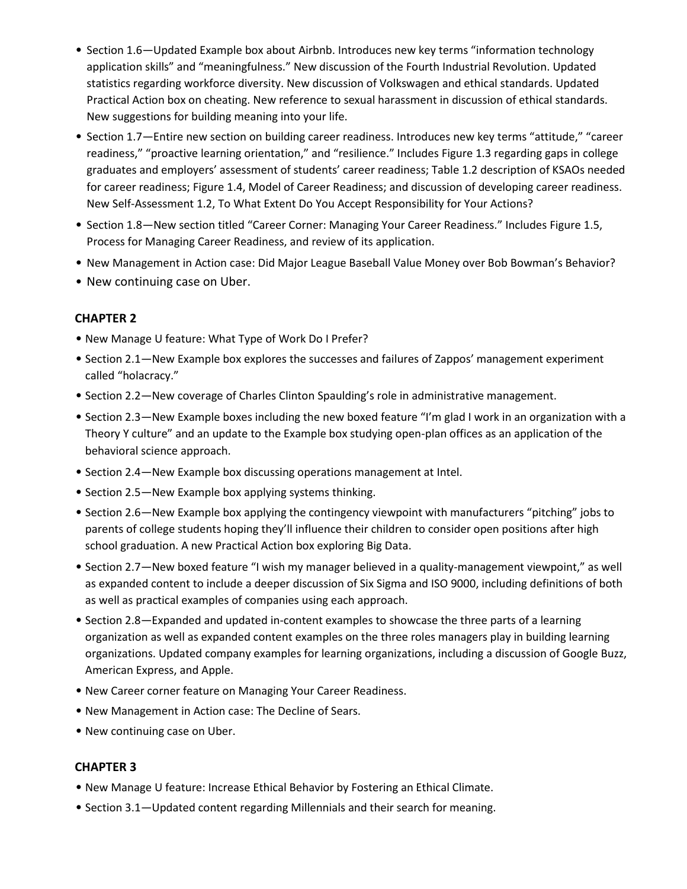- Section 1.6—Updated Example box about Airbnb. Introduces new key terms "information technology application skills" and "meaningfulness." New discussion of the Fourth Industrial Revolution. Updated statistics regarding workforce diversity. New discussion of Volkswagen and ethical standards. Updated Practical Action box on cheating. New reference to sexual harassment in discussion of ethical standards. New suggestions for building meaning into your life.
- Section 1.7—Entire new section on building career readiness. Introduces new key terms "attitude," "career readiness," "proactive learning orientation," and "resilience." Includes Figure 1.3 regarding gaps in college graduates and employers' assessment of students' career readiness; Table 1.2 description of KSAOs needed for career readiness; Figure 1.4, Model of Career Readiness; and discussion of developing career readiness. New Self-Assessment 1.2, To What Extent Do You Accept Responsibility for Your Actions?
- Section 1.8—New section titled "Career Corner: Managing Your Career Readiness." Includes Figure 1.5, Process for Managing Career Readiness, and review of its application.
- New Management in Action case: Did Major League Baseball Value Money over Bob Bowman's Behavior?
- New continuing case on Uber.

- New Manage U feature: What Type of Work Do I Prefer?
- Section 2.1—New Example box explores the successes and failures of Zappos' management experiment called "holacracy."
- Section 2.2—New coverage of Charles Clinton Spaulding's role in administrative management.
- Section 2.3—New Example boxes including the new boxed feature "I'm glad I work in an organization with a Theory Y culture" and an update to the Example box studying open-plan offices as an application of the behavioral science approach.
- Section 2.4—New Example box discussing operations management at Intel.
- Section 2.5—New Example box applying systems thinking.
- Section 2.6—New Example box applying the contingency viewpoint with manufacturers "pitching" jobs to parents of college students hoping they'll influence their children to consider open positions after high school graduation. A new Practical Action box exploring Big Data.
- Section 2.7—New boxed feature "I wish my manager believed in a quality-management viewpoint," as well as expanded content to include a deeper discussion of Six Sigma and ISO 9000, including definitions of both as well as practical examples of companies using each approach.
- Section 2.8—Expanded and updated in-content examples to showcase the three parts of a learning organization as well as expanded content examples on the three roles managers play in building learning organizations. Updated company examples for learning organizations, including a discussion of Google Buzz, American Express, and Apple.
- New Career corner feature on Managing Your Career Readiness.
- New Management in Action case: The Decline of Sears.
- New continuing case on Uber.

- New Manage U feature: Increase Ethical Behavior by Fostering an Ethical Climate.
- Section 3.1—Updated content regarding Millennials and their search for meaning.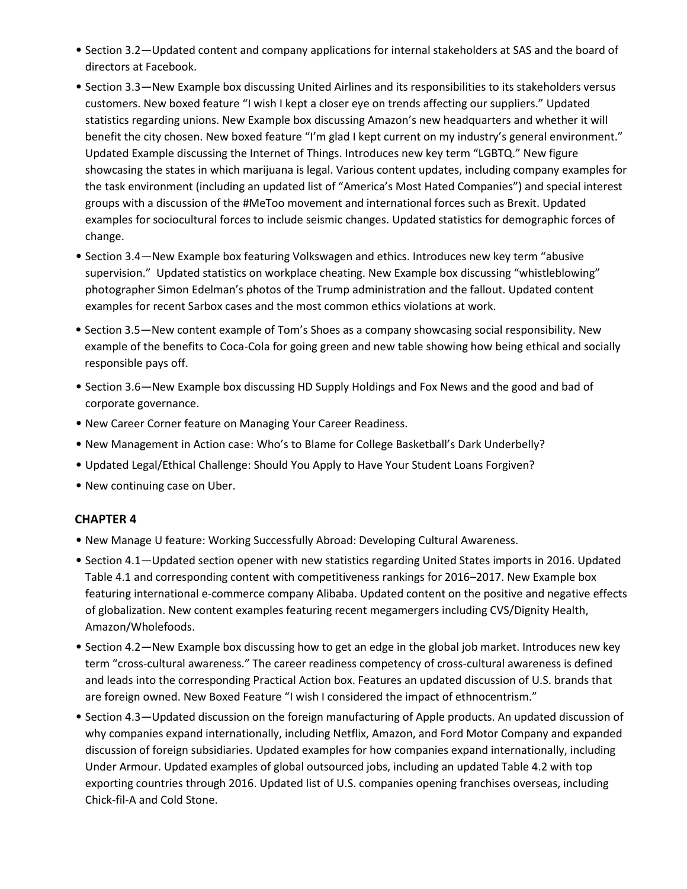- Section 3.2—Updated content and company applications for internal stakeholders at SAS and the board of directors at Facebook.
- Section 3.3—New Example box discussing United Airlines and its responsibilities to its stakeholders versus customers. New boxed feature "I wish I kept a closer eye on trends affecting our suppliers." Updated statistics regarding unions. New Example box discussing Amazon's new headquarters and whether it will benefit the city chosen. New boxed feature "I'm glad I kept current on my industry's general environment." Updated Example discussing the Internet of Things. Introduces new key term "LGBTQ." New figure showcasing the states in which marijuana is legal. Various content updates, including company examples for the task environment (including an updated list of "America's Most Hated Companies") and special interest groups with a discussion of the #MeToo movement and international forces such as Brexit. Updated examples for sociocultural forces to include seismic changes. Updated statistics for demographic forces of change.
- Section 3.4—New Example box featuring Volkswagen and ethics. Introduces new key term "abusive supervision." Updated statistics on workplace cheating. New Example box discussing "whistleblowing" photographer Simon Edelman's photos of the Trump administration and the fallout. Updated content examples for recent Sarbox cases and the most common ethics violations at work.
- Section 3.5—New content example of Tom's Shoes as a company showcasing social responsibility. New example of the benefits to Coca-Cola for going green and new table showing how being ethical and socially responsible pays off.
- Section 3.6—New Example box discussing HD Supply Holdings and Fox News and the good and bad of corporate governance.
- New Career Corner feature on Managing Your Career Readiness.
- New Management in Action case: Who's to Blame for College Basketball's Dark Underbelly?
- Updated Legal/Ethical Challenge: Should You Apply to Have Your Student Loans Forgiven?
- New continuing case on Uber.

- New Manage U feature: Working Successfully Abroad: Developing Cultural Awareness.
- Section 4.1—Updated section opener with new statistics regarding United States imports in 2016. Updated Table 4.1 and corresponding content with competitiveness rankings for 2016–2017. New Example box featuring international e-commerce company Alibaba. Updated content on the positive and negative effects of globalization. New content examples featuring recent megamergers including CVS/Dignity Health, Amazon/Wholefoods.
- Section 4.2—New Example box discussing how to get an edge in the global job market. Introduces new key term "cross-cultural awareness." The career readiness competency of cross-cultural awareness is defined and leads into the corresponding Practical Action box. Features an updated discussion of U.S. brands that are foreign owned. New Boxed Feature "I wish I considered the impact of ethnocentrism."
- Section 4.3—Updated discussion on the foreign manufacturing of Apple products. An updated discussion of why companies expand internationally, including Netflix, Amazon, and Ford Motor Company and expanded discussion of foreign subsidiaries. Updated examples for how companies expand internationally, including Under Armour. Updated examples of global outsourced jobs, including an updated Table 4.2 with top exporting countries through 2016. Updated list of U.S. companies opening franchises overseas, including Chick-fil-A and Cold Stone.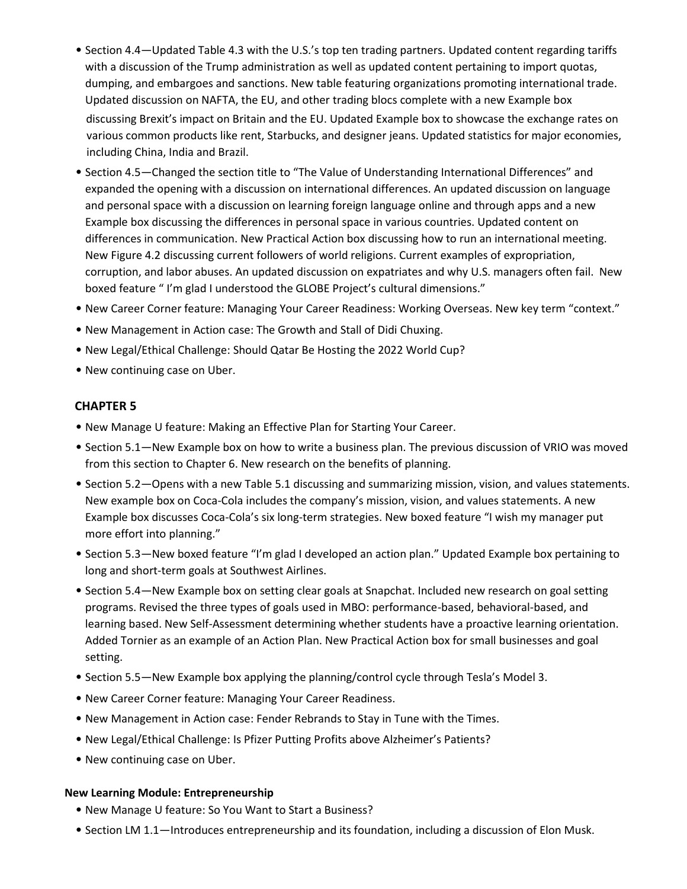- Section 4.4—Updated Table 4.3 with the U.S.'s top ten trading partners. Updated content regarding tariffs with a discussion of the Trump administration as well as updated content pertaining to import quotas, dumping, and embargoes and sanctions. New table featuring organizations promoting international trade. Updated discussion on NAFTA, the EU, and other trading blocs complete with a new Example box discussing Brexit's impact on Britain and the EU. Updated Example box to showcase the exchange rates on various common products like rent, Starbucks, and designer jeans. Updated statistics for major economies, including China, India and Brazil.
- Section 4.5—Changed the section title to "The Value of Understanding International Differences" and expanded the opening with a discussion on international differences. An updated discussion on language and personal space with a discussion on learning foreign language online and through apps and a new Example box discussing the differences in personal space in various countries. Updated content on differences in communication. New Practical Action box discussing how to run an international meeting. New Figure 4.2 discussing current followers of world religions. Current examples of expropriation, corruption, and labor abuses. An updated discussion on expatriates and why U.S. managers often fail. New boxed feature " I'm glad I understood the GLOBE Project's cultural dimensions."
- New Career Corner feature: Managing Your Career Readiness: Working Overseas. New key term "context."
- New Management in Action case: The Growth and Stall of Didi Chuxing.
- New Legal/Ethical Challenge: Should Qatar Be Hosting the 2022 World Cup?
- New continuing case on Uber.

- New Manage U feature: Making an Effective Plan for Starting Your Career.
- Section 5.1—New Example box on how to write a business plan. The previous discussion of VRIO was moved from this section to Chapter 6. New research on the benefits of planning.
- Section 5.2—Opens with a new Table 5.1 discussing and summarizing mission, vision, and values statements. New example box on Coca-Cola includes the company's mission, vision, and values statements. A new Example box discusses Coca-Cola's six long-term strategies. New boxed feature "I wish my manager put more effort into planning."
- Section 5.3—New boxed feature "I'm glad I developed an action plan." Updated Example box pertaining to long and short-term goals at Southwest Airlines.
- Section 5.4—New Example box on setting clear goals at Snapchat. Included new research on goal setting programs. Revised the three types of goals used in MBO: performance-based, behavioral-based, and learning based. New Self-Assessment determining whether students have a proactive learning orientation. Added Tornier as an example of an Action Plan. New Practical Action box for small businesses and goal setting.
- Section 5.5—New Example box applying the planning/control cycle through Tesla's Model 3.
- New Career Corner feature: Managing Your Career Readiness.
- New Management in Action case: Fender Rebrands to Stay in Tune with the Times.
- New Legal/Ethical Challenge: Is Pfizer Putting Profits above Alzheimer's Patients?
- New continuing case on Uber.

#### **New Learning Module: Entrepreneurship**

- New Manage U feature: So You Want to Start a Business?
- Section LM 1.1—Introduces entrepreneurship and its foundation, including a discussion of Elon Musk.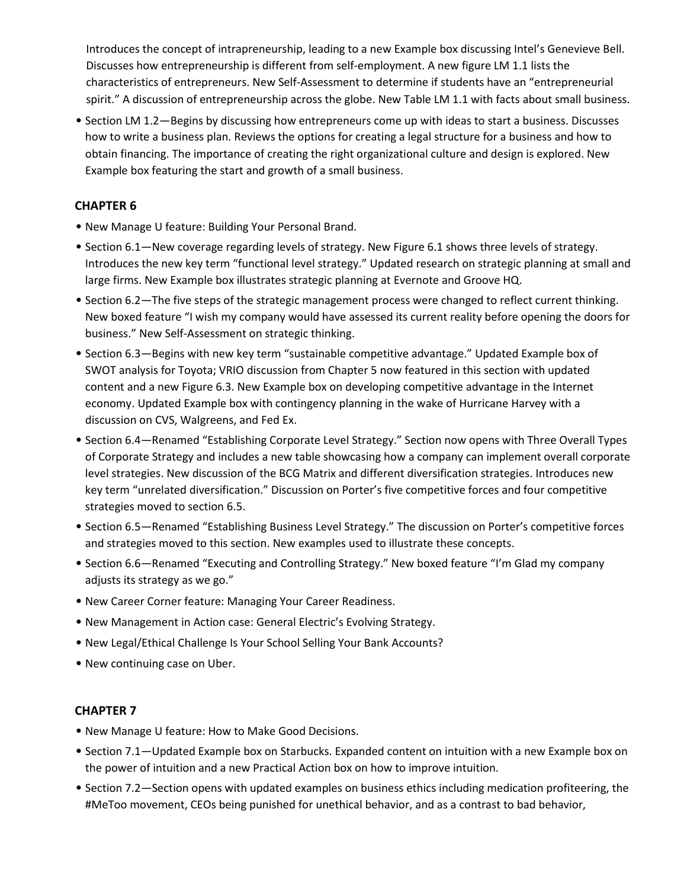Introduces the concept of intrapreneurship, leading to a new Example box discussing Intel's Genevieve Bell. Discusses how entrepreneurship is different from self-employment. A new figure LM 1.1 lists the characteristics of entrepreneurs. New Self-Assessment to determine if students have an "entrepreneurial spirit." A discussion of entrepreneurship across the globe. New Table LM 1.1 with facts about small business.

• Section LM 1.2—Begins by discussing how entrepreneurs come up with ideas to start a business. Discusses how to write a business plan. Reviews the options for creating a legal structure for a business and how to obtain financing. The importance of creating the right organizational culture and design is explored. New Example box featuring the start and growth of a small business.

### **CHAPTER 6**

- New Manage U feature: Building Your Personal Brand.
- Section 6.1—New coverage regarding levels of strategy. New Figure 6.1 shows three levels of strategy. Introduces the new key term "functional level strategy." Updated research on strategic planning at small and large firms. New Example box illustrates strategic planning at Evernote and Groove HQ.
- Section 6.2—The five steps of the strategic management process were changed to reflect current thinking. New boxed feature "I wish my company would have assessed its current reality before opening the doors for business." New Self-Assessment on strategic thinking.
- Section 6.3—Begins with new key term "sustainable competitive advantage." Updated Example box of SWOT analysis for Toyota; VRIO discussion from Chapter 5 now featured in this section with updated content and a new Figure 6.3. New Example box on developing competitive advantage in the Internet economy. Updated Example box with contingency planning in the wake of Hurricane Harvey with a discussion on CVS, Walgreens, and Fed Ex.
- Section 6.4—Renamed "Establishing Corporate Level Strategy." Section now opens with Three Overall Types of Corporate Strategy and includes a new table showcasing how a company can implement overall corporate level strategies. New discussion of the BCG Matrix and different diversification strategies. Introduces new key term "unrelated diversification." Discussion on Porter's five competitive forces and four competitive strategies moved to section 6.5.
- Section 6.5—Renamed "Establishing Business Level Strategy." The discussion on Porter's competitive forces and strategies moved to this section. New examples used to illustrate these concepts.
- Section 6.6—Renamed "Executing and Controlling Strategy." New boxed feature "I'm Glad my company adjusts its strategy as we go."
- New Career Corner feature: Managing Your Career Readiness.
- New Management in Action case: General Electric's Evolving Strategy.
- New Legal/Ethical Challenge Is Your School Selling Your Bank Accounts?
- New continuing case on Uber.

- New Manage U feature: How to Make Good Decisions.
- Section 7.1—Updated Example box on Starbucks. Expanded content on intuition with a new Example box on the power of intuition and a new Practical Action box on how to improve intuition.
- Section 7.2—Section opens with updated examples on business ethics including medication profiteering, the #MeToo movement, CEOs being punished for unethical behavior, and as a contrast to bad behavior,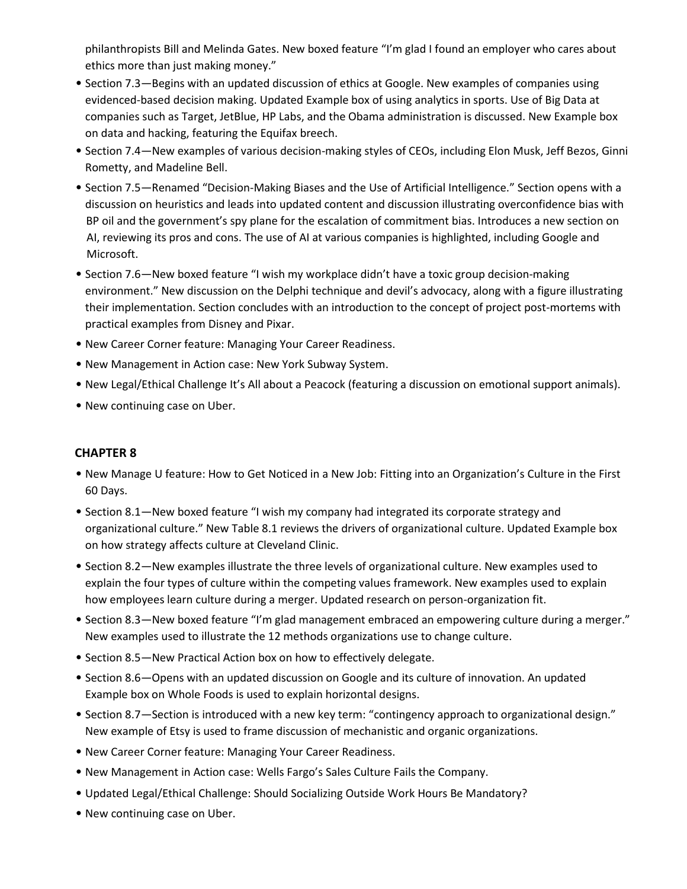philanthropists Bill and Melinda Gates. New boxed feature "I'm glad I found an employer who cares about ethics more than just making money."

- Section 7.3—Begins with an updated discussion of ethics at Google. New examples of companies using evidenced-based decision making. Updated Example box of using analytics in sports. Use of Big Data at companies such as Target, JetBlue, HP Labs, and the Obama administration is discussed. New Example box on data and hacking, featuring the Equifax breech.
- Section 7.4—New examples of various decision-making styles of CEOs, including Elon Musk, Jeff Bezos, Ginni Rometty, and Madeline Bell.
- Section 7.5—Renamed "Decision-Making Biases and the Use of Artificial Intelligence." Section opens with a discussion on heuristics and leads into updated content and discussion illustrating overconfidence bias with BP oil and the government's spy plane for the escalation of commitment bias. Introduces a new section on AI, reviewing its pros and cons. The use of AI at various companies is highlighted, including Google and Microsoft.
- Section 7.6—New boxed feature "I wish my workplace didn't have a toxic group decision-making environment." New discussion on the Delphi technique and devil's advocacy, along with a figure illustrating their implementation. Section concludes with an introduction to the concept of project post-mortems with practical examples from Disney and Pixar.
- New Career Corner feature: Managing Your Career Readiness.
- New Management in Action case: New York Subway System.
- New Legal/Ethical Challenge It's All about a Peacock (featuring a discussion on emotional support animals).
- New continuing case on Uber.

- New Manage U feature: How to Get Noticed in a New Job: Fitting into an Organization's Culture in the First 60 Days.
- Section 8.1—New boxed feature "I wish my company had integrated its corporate strategy and organizational culture." New Table 8.1 reviews the drivers of organizational culture. Updated Example box on how strategy affects culture at Cleveland Clinic.
- Section 8.2—New examples illustrate the three levels of organizational culture. New examples used to explain the four types of culture within the competing values framework. New examples used to explain how employees learn culture during a merger. Updated research on person-organization fit.
- Section 8.3—New boxed feature "I'm glad management embraced an empowering culture during a merger." New examples used to illustrate the 12 methods organizations use to change culture.
- Section 8.5—New Practical Action box on how to effectively delegate.
- Section 8.6—Opens with an updated discussion on Google and its culture of innovation. An updated Example box on Whole Foods is used to explain horizontal designs.
- Section 8.7—Section is introduced with a new key term: "contingency approach to organizational design." New example of Etsy is used to frame discussion of mechanistic and organic organizations.
- New Career Corner feature: Managing Your Career Readiness.
- New Management in Action case: Wells Fargo's Sales Culture Fails the Company.
- Updated Legal/Ethical Challenge: Should Socializing Outside Work Hours Be Mandatory?
- New continuing case on Uber.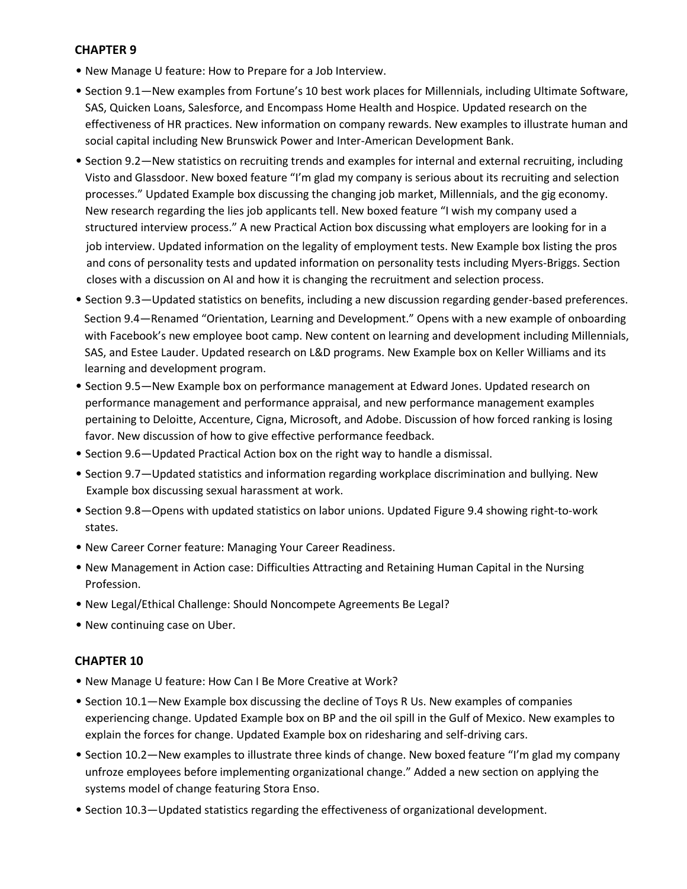- New Manage U feature: How to Prepare for a Job Interview.
- Section 9.1—New examples from Fortune's 10 best work places for Millennials, including Ultimate Software, SAS, Quicken Loans, Salesforce, and Encompass Home Health and Hospice. Updated research on the effectiveness of HR practices. New information on company rewards. New examples to illustrate human and social capital including New Brunswick Power and Inter-American Development Bank.
- Section 9.2—New statistics on recruiting trends and examples for internal and external recruiting, including Visto and Glassdoor. New boxed feature "I'm glad my company is serious about its recruiting and selection processes." Updated Example box discussing the changing job market, Millennials, and the gig economy. New research regarding the lies job applicants tell. New boxed feature "I wish my company used a structured interview process." A new Practical Action box discussing what employers are looking for in a job interview. Updated information on the legality of employment tests. New Example box listing the pros and cons of personality tests and updated information on personality tests including Myers-Briggs. Section closes with a discussion on AI and how it is changing the recruitment and selection process.
- Section 9.3—Updated statistics on benefits, including a new discussion regarding gender-based preferences. Section 9.4—Renamed "Orientation, Learning and Development." Opens with a new example of onboarding with Facebook's new employee boot camp. New content on learning and development including Millennials, SAS, and Estee Lauder. Updated research on L&D programs. New Example box on Keller Williams and its learning and development program.
- Section 9.5—New Example box on performance management at Edward Jones. Updated research on performance management and performance appraisal, and new performance management examples pertaining to Deloitte, Accenture, Cigna, Microsoft, and Adobe. Discussion of how forced ranking is losing favor. New discussion of how to give effective performance feedback.
- Section 9.6—Updated Practical Action box on the right way to handle a dismissal.
- Section 9.7—Updated statistics and information regarding workplace discrimination and bullying. New Example box discussing sexual harassment at work.
- Section 9.8—Opens with updated statistics on labor unions. Updated Figure 9.4 showing right-to-work states.
- New Career Corner feature: Managing Your Career Readiness.
- New Management in Action case: Difficulties Attracting and Retaining Human Capital in the Nursing Profession.
- New Legal/Ethical Challenge: Should Noncompete Agreements Be Legal?
- New continuing case on Uber.

- New Manage U feature: How Can I Be More Creative at Work?
- Section 10.1—New Example box discussing the decline of Toys R Us. New examples of companies experiencing change. Updated Example box on BP and the oil spill in the Gulf of Mexico. New examples to explain the forces for change. Updated Example box on ridesharing and self-driving cars.
- Section 10.2—New examples to illustrate three kinds of change. New boxed feature "I'm glad my company unfroze employees before implementing organizational change." Added a new section on applying the systems model of change featuring Stora Enso.
- Section 10.3—Updated statistics regarding the effectiveness of organizational development.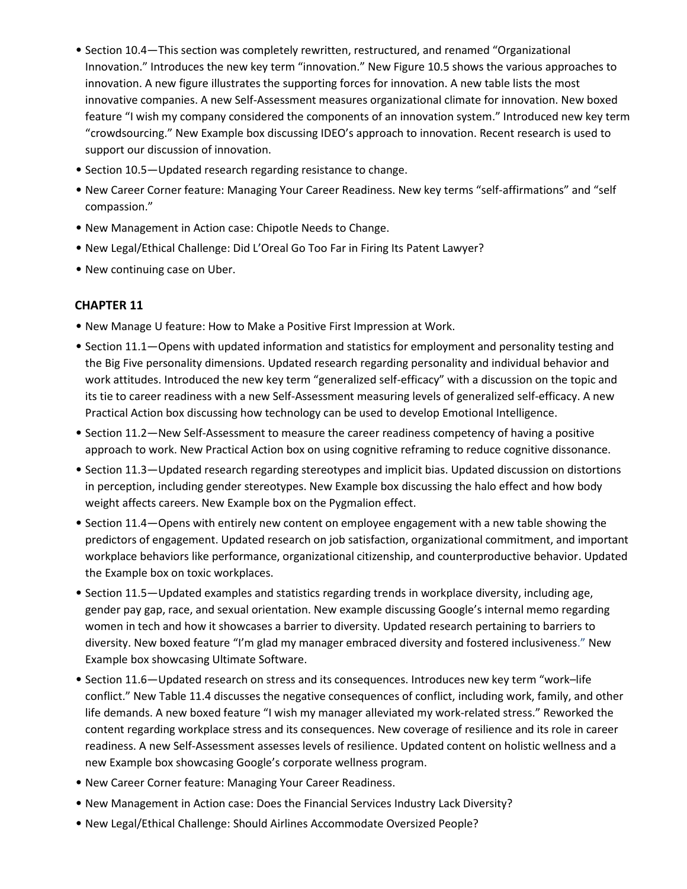- Section 10.4—This section was completely rewritten, restructured, and renamed "Organizational Innovation." Introduces the new key term "innovation." New Figure 10.5 shows the various approaches to innovation. A new figure illustrates the supporting forces for innovation. A new table lists the most innovative companies. A new Self-Assessment measures organizational climate for innovation. New boxed feature "I wish my company considered the components of an innovation system." Introduced new key term "crowdsourcing." New Example box discussing IDEO's approach to innovation. Recent research is used to support our discussion of innovation.
- Section 10.5—Updated research regarding resistance to change.
- New Career Corner feature: Managing Your Career Readiness. New key terms "self-affirmations" and "self compassion."
- New Management in Action case: Chipotle Needs to Change.
- New Legal/Ethical Challenge: Did L'Oreal Go Too Far in Firing Its Patent Lawyer?
- New continuing case on Uber.

- New Manage U feature: How to Make a Positive First Impression at Work.
- Section 11.1—Opens with updated information and statistics for employment and personality testing and the Big Five personality dimensions. Updated research regarding personality and individual behavior and work attitudes. Introduced the new key term "generalized self-efficacy" with a discussion on the topic and its tie to career readiness with a new Self-Assessment measuring levels of generalized self-efficacy. A new Practical Action box discussing how technology can be used to develop Emotional Intelligence.
- Section 11.2—New Self-Assessment to measure the career readiness competency of having a positive approach to work. New Practical Action box on using cognitive reframing to reduce cognitive dissonance.
- Section 11.3—Updated research regarding stereotypes and implicit bias. Updated discussion on distortions in perception, including gender stereotypes. New Example box discussing the halo effect and how body weight affects careers. New Example box on the Pygmalion effect.
- Section 11.4—Opens with entirely new content on employee engagement with a new table showing the predictors of engagement. Updated research on job satisfaction, organizational commitment, and important workplace behaviors like performance, organizational citizenship, and counterproductive behavior. Updated the Example box on toxic workplaces.
- Section 11.5—Updated examples and statistics regarding trends in workplace diversity, including age, gender pay gap, race, and sexual orientation. New example discussing Google's internal memo regarding women in tech and how it showcases a barrier to diversity. Updated research pertaining to barriers to diversity. New boxed feature "I'm glad my manager embraced diversity and fostered inclusiveness." New Example box showcasing Ultimate Software.
- Section 11.6—Updated research on stress and its consequences. Introduces new key term "work–life conflict." New Table 11.4 discusses the negative consequences of conflict, including work, family, and other life demands. A new boxed feature "I wish my manager alleviated my work-related stress." Reworked the content regarding workplace stress and its consequences. New coverage of resilience and its role in career readiness. A new Self-Assessment assesses levels of resilience. Updated content on holistic wellness and a new Example box showcasing Google's corporate wellness program.
- New Career Corner feature: Managing Your Career Readiness.
- New Management in Action case: Does the Financial Services Industry Lack Diversity?
- New Legal/Ethical Challenge: Should Airlines Accommodate Oversized People?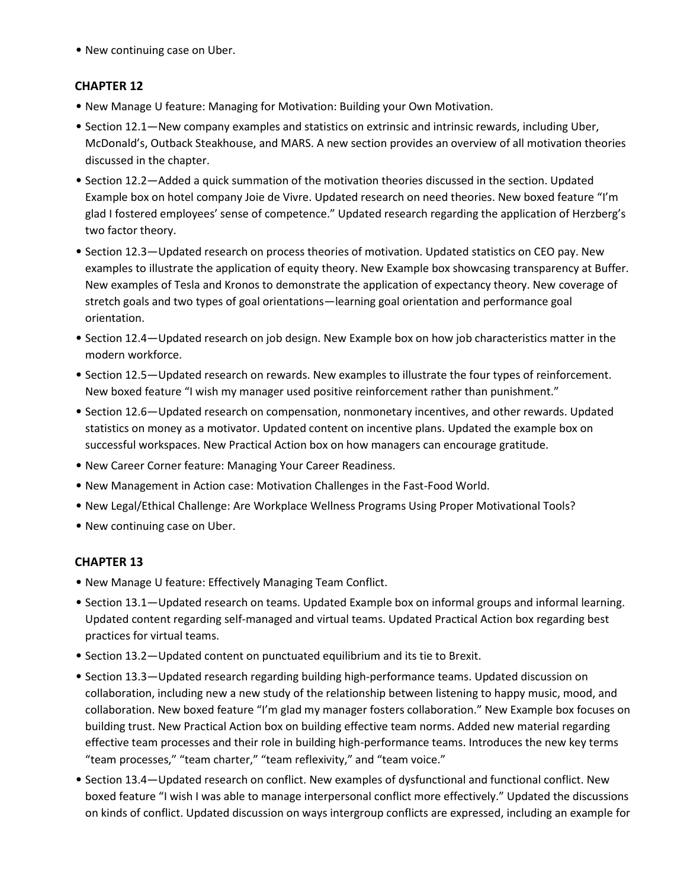• New continuing case on Uber.

# **CHAPTER 12**

- New Manage U feature: Managing for Motivation: Building your Own Motivation.
- Section 12.1—New company examples and statistics on extrinsic and intrinsic rewards, including Uber, McDonald's, Outback Steakhouse, and MARS. A new section provides an overview of all motivation theories discussed in the chapter.
- Section 12.2—Added a quick summation of the motivation theories discussed in the section. Updated Example box on hotel company Joie de Vivre. Updated research on need theories. New boxed feature "I'm glad I fostered employees' sense of competence." Updated research regarding the application of Herzberg's two factor theory.
- Section 12.3—Updated research on process theories of motivation. Updated statistics on CEO pay. New examples to illustrate the application of equity theory. New Example box showcasing transparency at Buffer. New examples of Tesla and Kronos to demonstrate the application of expectancy theory. New coverage of stretch goals and two types of goal orientations—learning goal orientation and performance goal orientation.
- Section 12.4—Updated research on job design. New Example box on how job characteristics matter in the modern workforce.
- Section 12.5—Updated research on rewards. New examples to illustrate the four types of reinforcement. New boxed feature "I wish my manager used positive reinforcement rather than punishment."
- Section 12.6—Updated research on compensation, nonmonetary incentives, and other rewards. Updated statistics on money as a motivator. Updated content on incentive plans. Updated the example box on successful workspaces. New Practical Action box on how managers can encourage gratitude.
- New Career Corner feature: Managing Your Career Readiness.
- New Management in Action case: Motivation Challenges in the Fast-Food World.
- New Legal/Ethical Challenge: Are Workplace Wellness Programs Using Proper Motivational Tools?
- New continuing case on Uber.

- New Manage U feature: Effectively Managing Team Conflict.
- Section 13.1—Updated research on teams. Updated Example box on informal groups and informal learning. Updated content regarding self-managed and virtual teams. Updated Practical Action box regarding best practices for virtual teams.
- Section 13.2—Updated content on punctuated equilibrium and its tie to Brexit.
- Section 13.3—Updated research regarding building high-performance teams. Updated discussion on collaboration, including new a new study of the relationship between listening to happy music, mood, and collaboration. New boxed feature "I'm glad my manager fosters collaboration." New Example box focuses on building trust. New Practical Action box on building effective team norms. Added new material regarding effective team processes and their role in building high-performance teams. Introduces the new key terms "team processes," "team charter," "team reflexivity," and "team voice."
- Section 13.4—Updated research on conflict. New examples of dysfunctional and functional conflict. New boxed feature "I wish I was able to manage interpersonal conflict more effectively." Updated the discussions on kinds of conflict. Updated discussion on ways intergroup conflicts are expressed, including an example for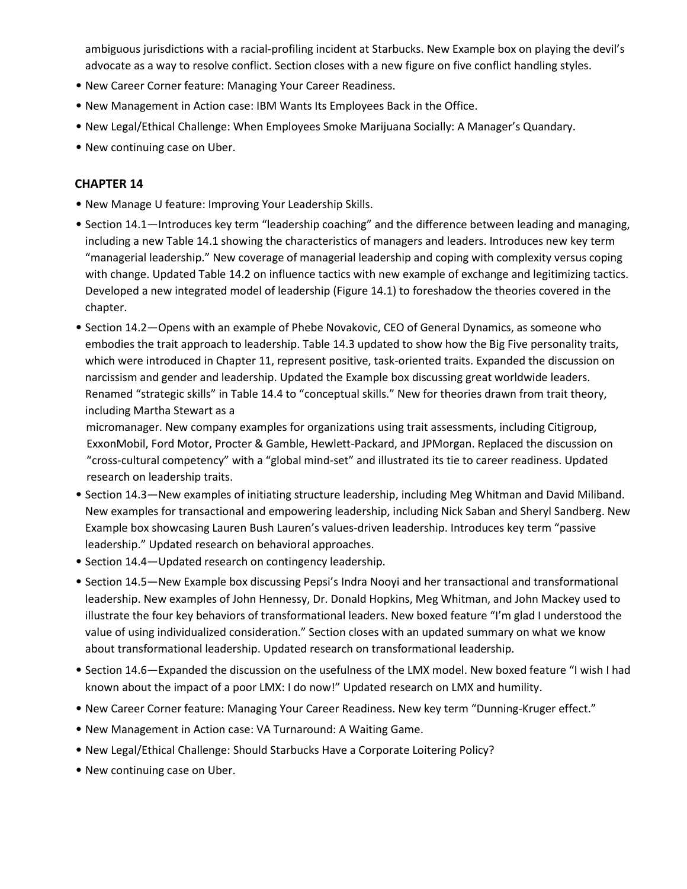ambiguous jurisdictions with a racial-profiling incident at Starbucks. New Example box on playing the devil's advocate as a way to resolve conflict. Section closes with a new figure on five conflict handling styles.

- New Career Corner feature: Managing Your Career Readiness.
- New Management in Action case: IBM Wants Its Employees Back in the Office.
- New Legal/Ethical Challenge: When Employees Smoke Marijuana Socially: A Manager's Quandary.
- New continuing case on Uber.

#### **CHAPTER 14**

- New Manage U feature: Improving Your Leadership Skills.
- Section 14.1—Introduces key term "leadership coaching" and the difference between leading and managing, including a new Table 14.1 showing the characteristics of managers and leaders. Introduces new key term "managerial leadership." New coverage of managerial leadership and coping with complexity versus coping with change. Updated Table 14.2 on influence tactics with new example of exchange and legitimizing tactics. Developed a new integrated model of leadership (Figure 14.1) to foreshadow the theories covered in the chapter.
- Section 14.2—Opens with an example of Phebe Novakovic, CEO of General Dynamics, as someone who embodies the trait approach to leadership. Table 14.3 updated to show how the Big Five personality traits, which were introduced in Chapter 11, represent positive, task-oriented traits. Expanded the discussion on narcissism and gender and leadership. Updated the Example box discussing great worldwide leaders. Renamed "strategic skills" in Table 14.4 to "conceptual skills." New for theories drawn from trait theory, including Martha Stewart as a

micromanager. New company examples for organizations using trait assessments, including Citigroup, ExxonMobil, Ford Motor, Procter & Gamble, Hewlett-Packard, and JPMorgan. Replaced the discussion on "cross-cultural competency" with a "global mind-set" and illustrated its tie to career readiness. Updated research on leadership traits.

- Section 14.3—New examples of initiating structure leadership, including Meg Whitman and David Miliband. New examples for transactional and empowering leadership, including Nick Saban and Sheryl Sandberg. New Example box showcasing Lauren Bush Lauren's values-driven leadership. Introduces key term "passive leadership." Updated research on behavioral approaches.
- Section 14.4—Updated research on contingency leadership.
- Section 14.5—New Example box discussing Pepsi's Indra Nooyi and her transactional and transformational leadership. New examples of John Hennessy, Dr. Donald Hopkins, Meg Whitman, and John Mackey used to illustrate the four key behaviors of transformational leaders. New boxed feature "I'm glad I understood the value of using individualized consideration." Section closes with an updated summary on what we know about transformational leadership. Updated research on transformational leadership.
- Section 14.6—Expanded the discussion on the usefulness of the LMX model. New boxed feature "I wish I had known about the impact of a poor LMX: I do now!" Updated research on LMX and humility.
- New Career Corner feature: Managing Your Career Readiness. New key term "Dunning-Kruger effect."
- New Management in Action case: VA Turnaround: A Waiting Game.
- New Legal/Ethical Challenge: Should Starbucks Have a Corporate Loitering Policy?
- New continuing case on Uber.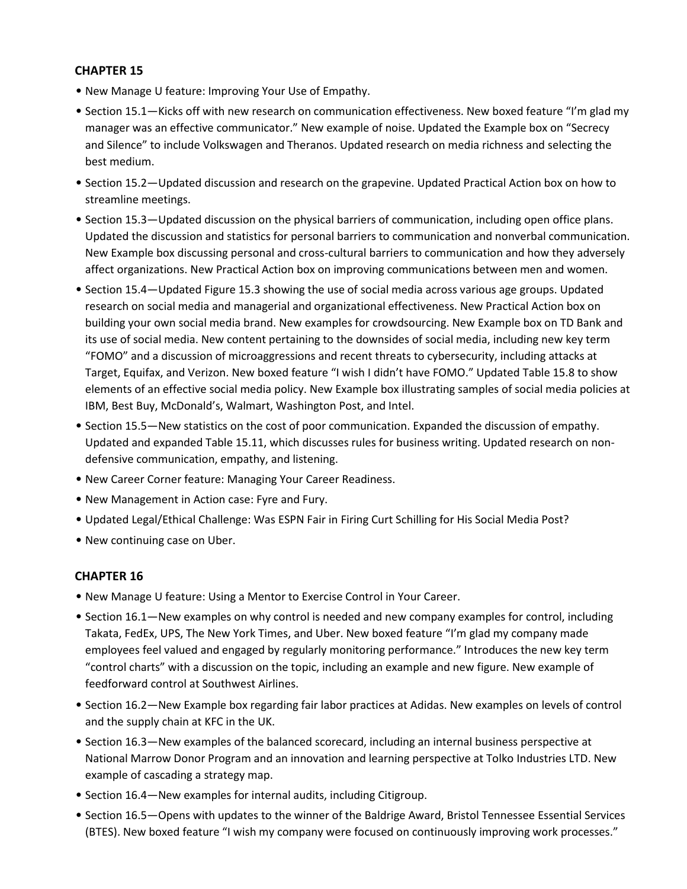- New Manage U feature: Improving Your Use of Empathy.
- Section 15.1—Kicks off with new research on communication effectiveness. New boxed feature "I'm glad my manager was an effective communicator." New example of noise. Updated the Example box on "Secrecy and Silence" to include Volkswagen and Theranos. Updated research on media richness and selecting the best medium.
- Section 15.2—Updated discussion and research on the grapevine. Updated Practical Action box on how to streamline meetings.
- Section 15.3—Updated discussion on the physical barriers of communication, including open office plans. Updated the discussion and statistics for personal barriers to communication and nonverbal communication. New Example box discussing personal and cross-cultural barriers to communication and how they adversely affect organizations. New Practical Action box on improving communications between men and women.
- Section 15.4—Updated Figure 15.3 showing the use of social media across various age groups. Updated research on social media and managerial and organizational effectiveness. New Practical Action box on building your own social media brand. New examples for crowdsourcing. New Example box on TD Bank and its use of social media. New content pertaining to the downsides of social media, including new key term "FOMO" and a discussion of microaggressions and recent threats to cybersecurity, including attacks at Target, Equifax, and Verizon. New boxed feature "I wish I didn't have FOMO." Updated Table 15.8 to show elements of an effective social media policy. New Example box illustrating samples of social media policies at IBM, Best Buy, McDonald's, Walmart, Washington Post, and Intel.
- Section 15.5—New statistics on the cost of poor communication. Expanded the discussion of empathy. Updated and expanded Table 15.11, which discusses rules for business writing. Updated research on nondefensive communication, empathy, and listening.
- New Career Corner feature: Managing Your Career Readiness.
- New Management in Action case: Fyre and Fury.
- Updated Legal/Ethical Challenge: Was ESPN Fair in Firing Curt Schilling for His Social Media Post?
- New continuing case on Uber.

- New Manage U feature: Using a Mentor to Exercise Control in Your Career.
- Section 16.1—New examples on why control is needed and new company examples for control, including Takata, FedEx, UPS, The New York Times, and Uber. New boxed feature "I'm glad my company made employees feel valued and engaged by regularly monitoring performance." Introduces the new key term "control charts" with a discussion on the topic, including an example and new figure. New example of feedforward control at Southwest Airlines.
- Section 16.2—New Example box regarding fair labor practices at Adidas. New examples on levels of control and the supply chain at KFC in the UK.
- Section 16.3—New examples of the balanced scorecard, including an internal business perspective at National Marrow Donor Program and an innovation and learning perspective at Tolko Industries LTD. New example of cascading a strategy map.
- Section 16.4—New examples for internal audits, including Citigroup.
- Section 16.5—Opens with updates to the winner of the Baldrige Award, Bristol Tennessee Essential Services (BTES). New boxed feature "I wish my company were focused on continuously improving work processes."